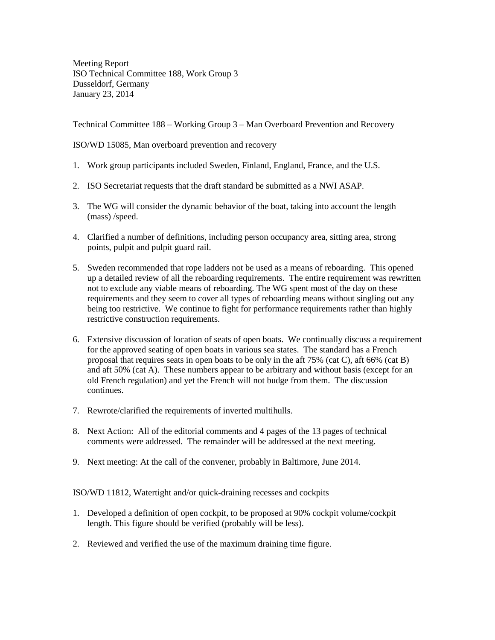Meeting Report ISO Technical Committee 188, Work Group 3 Dusseldorf, Germany January 23, 2014

Technical Committee 188 – Working Group 3 – Man Overboard Prevention and Recovery

ISO/WD 15085, Man overboard prevention and recovery

- 1. Work group participants included Sweden, Finland, England, France, and the U.S.
- 2. ISO Secretariat requests that the draft standard be submitted as a NWI ASAP.
- 3. The WG will consider the dynamic behavior of the boat, taking into account the length (mass) /speed.
- 4. Clarified a number of definitions, including person occupancy area, sitting area, strong points, pulpit and pulpit guard rail.
- 5. Sweden recommended that rope ladders not be used as a means of reboarding. This opened up a detailed review of all the reboarding requirements. The entire requirement was rewritten not to exclude any viable means of reboarding. The WG spent most of the day on these requirements and they seem to cover all types of reboarding means without singling out any being too restrictive. We continue to fight for performance requirements rather than highly restrictive construction requirements.
- 6. Extensive discussion of location of seats of open boats. We continually discuss a requirement for the approved seating of open boats in various sea states. The standard has a French proposal that requires seats in open boats to be only in the aft 75% (cat C), aft 66% (cat B) and aft 50% (cat A). These numbers appear to be arbitrary and without basis (except for an old French regulation) and yet the French will not budge from them. The discussion continues.
- 7. Rewrote/clarified the requirements of inverted multihulls.
- 8. Next Action: All of the editorial comments and 4 pages of the 13 pages of technical comments were addressed. The remainder will be addressed at the next meeting.
- 9. Next meeting: At the call of the convener, probably in Baltimore, June 2014.

ISO/WD 11812, Watertight and/or quick-draining recesses and cockpits

- 1. Developed a definition of open cockpit, to be proposed at 90% cockpit volume/cockpit length. This figure should be verified (probably will be less).
- 2. Reviewed and verified the use of the maximum draining time figure.